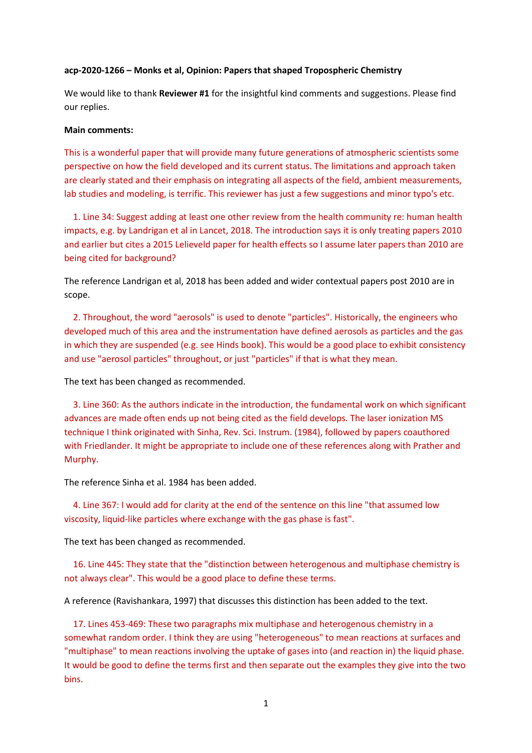## **acp-2020-1266 – Monks et al, Opinion: Papers that shaped Tropospheric Chemistry**

We would like to thank **Reviewer #1** for the insightful kind comments and suggestions. Please find our replies.

#### **Main comments:**

This is a wonderful paper that will provide many future generations of atmospheric scientists some perspective on how the field developed and its current status. The limitations and approach taken are clearly stated and their emphasis on integrating all aspects of the field, ambient measurements, lab studies and modeling, is terrific. This reviewer has just a few suggestions and minor typo's etc.

 1. Line 34: Suggest adding at least one other review from the health community re: human health impacts, e.g. by Landrigan et al in Lancet, 2018. The introduction says it is only treating papers 2010 and earlier but cites a 2015 Lelieveld paper for health effects so I assume later papers than 2010 are being cited for background?

The reference Landrigan et al, 2018 has been added and wider contextual papers post 2010 are in scope.

 2. Throughout, the word "aerosols" is used to denote "particles". Historically, the engineers who developed much of this area and the instrumentation have defined aerosols as particles and the gas in which they are suspended (e.g. see Hinds book). This would be a good place to exhibit consistency and use "aerosol particles" throughout, or just "particles" if that is what they mean.

The text has been changed as recommended.

 3. Line 360: As the authors indicate in the introduction, the fundamental work on which significant advances are made often ends up not being cited as the field develops. The laser ionization MS technique I think originated with Sinha, Rev. Sci. Instrum. (1984), followed by papers coauthored with Friedlander. It might be appropriate to include one of these references along with Prather and Murphy.

The reference Sinha et al. 1984 has been added.

 4. Line 367: I would add for clarity at the end of the sentence on this line "that assumed low viscosity, liquid-like particles where exchange with the gas phase is fast".

The text has been changed as recommended.

 16. Line 445: They state that the "distinction between heterogenous and multiphase chemistry is not always clear". This would be a good place to define these terms.

A reference (Ravishankara, 1997) that discusses this distinction has been added to the text.

 17. Lines 453-469: These two paragraphs mix multiphase and heterogenous chemistry in a somewhat random order. I think they are using "heterogeneous" to mean reactions at surfaces and "multiphase" to mean reactions involving the uptake of gases into (and reaction in) the liquid phase. It would be good to define the terms first and then separate out the examples they give into the two bins.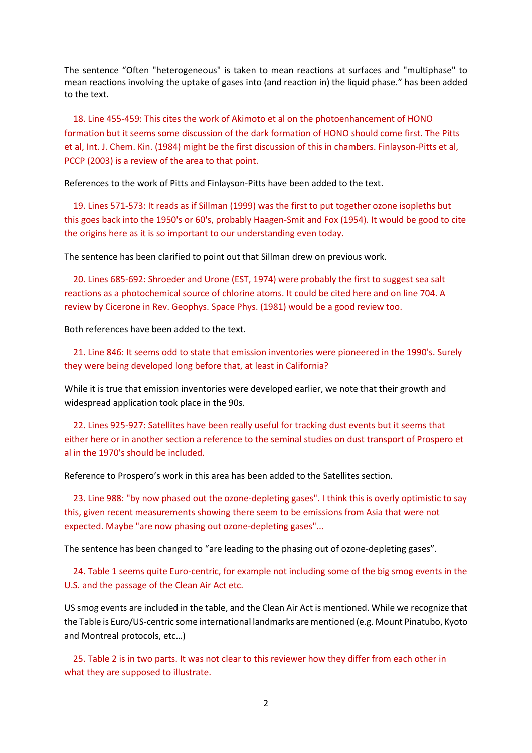The sentence "Often "heterogeneous" is taken to mean reactions at surfaces and "multiphase" to mean reactions involving the uptake of gases into (and reaction in) the liquid phase." has been added to the text.

 18. Line 455-459: This cites the work of Akimoto et al on the photoenhancement of HONO formation but it seems some discussion of the dark formation of HONO should come first. The Pitts et al, Int. J. Chem. Kin. (1984) might be the first discussion of this in chambers. Finlayson-Pitts et al, PCCP (2003) is a review of the area to that point.

References to the work of Pitts and Finlayson-Pitts have been added to the text.

 19. Lines 571-573: It reads as if Sillman (1999) was the first to put together ozone isopleths but this goes back into the 1950's or 60's, probably Haagen-Smit and Fox (1954). It would be good to cite the origins here as it is so important to our understanding even today.

The sentence has been clarified to point out that Sillman drew on previous work.

 20. Lines 685-692: Shroeder and Urone (EST, 1974) were probably the first to suggest sea salt reactions as a photochemical source of chlorine atoms. It could be cited here and on line 704. A review by Cicerone in Rev. Geophys. Space Phys. (1981) would be a good review too.

Both references have been added to the text.

 21. Line 846: It seems odd to state that emission inventories were pioneered in the 1990's. Surely they were being developed long before that, at least in California?

While it is true that emission inventories were developed earlier, we note that their growth and widespread application took place in the 90s.

 22. Lines 925-927: Satellites have been really useful for tracking dust events but it seems that either here or in another section a reference to the seminal studies on dust transport of Prospero et al in the 1970's should be included.

Reference to Prospero's work in this area has been added to the Satellites section.

 23. Line 988: "by now phased out the ozone-depleting gases". I think this is overly optimistic to say this, given recent measurements showing there seem to be emissions from Asia that were not expected. Maybe "are now phasing out ozone-depleting gases"...

The sentence has been changed to "are leading to the phasing out of ozone-depleting gases".

 24. Table 1 seems quite Euro-centric, for example not including some of the big smog events in the U.S. and the passage of the Clean Air Act etc.

US smog events are included in the table, and the Clean Air Act is mentioned. While we recognize that the Table is Euro/US-centric some international landmarks are mentioned (e.g. Mount Pinatubo, Kyoto and Montreal protocols, etc…)

 25. Table 2 is in two parts. It was not clear to this reviewer how they differ from each other in what they are supposed to illustrate.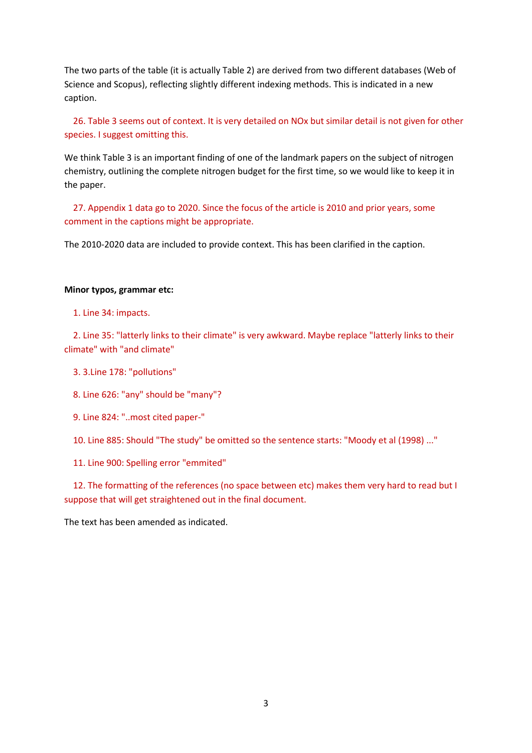The two parts of the table (it is actually Table 2) are derived from two different databases (Web of Science and Scopus), reflecting slightly different indexing methods. This is indicated in a new caption.

 26. Table 3 seems out of context. It is very detailed on NOx but similar detail is not given for other species. I suggest omitting this.

We think Table 3 is an important finding of one of the landmark papers on the subject of nitrogen chemistry, outlining the complete nitrogen budget for the first time, so we would like to keep it in the paper.

 27. Appendix 1 data go to 2020. Since the focus of the article is 2010 and prior years, some comment in the captions might be appropriate.

The 2010-2020 data are included to provide context. This has been clarified in the caption.

### **Minor typos, grammar etc:**

1. Line 34: impacts.

 2. Line 35: "latterly links to their climate" is very awkward. Maybe replace "latterly links to their climate" with "and climate"

- 3. 3.Line 178: "pollutions"
- 8. Line 626: "any" should be "many"?
- 9. Line 824: "..most cited paper-"

10. Line 885: Should "The study" be omitted so the sentence starts: "Moody et al (1998) ..."

11. Line 900: Spelling error "emmited"

 12. The formatting of the references (no space between etc) makes them very hard to read but I suppose that will get straightened out in the final document.

The text has been amended as indicated.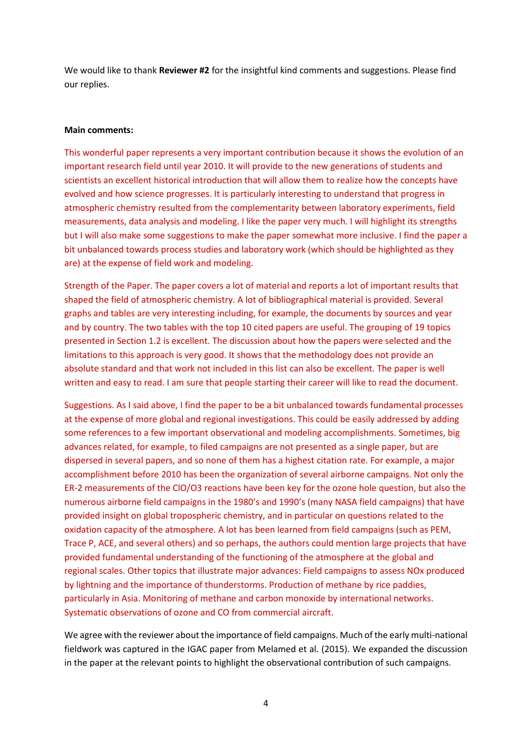We would like to thank **Reviewer #2** for the insightful kind comments and suggestions. Please find our replies.

# **Main comments:**

This wonderful paper represents a very important contribution because it shows the evolution of an important research field until year 2010. It will provide to the new generations of students and scientists an excellent historical introduction that will allow them to realize how the concepts have evolved and how science progresses. It is particularly interesting to understand that progress in atmospheric chemistry resulted from the complementarity between laboratory experiments, field measurements, data analysis and modeling. I like the paper very much. I will highlight its strengths but I will also make some suggestions to make the paper somewhat more inclusive. I find the paper a bit unbalanced towards process studies and laboratory work (which should be highlighted as they are) at the expense of field work and modeling.

Strength of the Paper. The paper covers a lot of material and reports a lot of important results that shaped the field of atmospheric chemistry. A lot of bibliographical material is provided. Several graphs and tables are very interesting including, for example, the documents by sources and year and by country. The two tables with the top 10 cited papers are useful. The grouping of 19 topics presented in Section 1.2 is excellent. The discussion about how the papers were selected and the limitations to this approach is very good. It shows that the methodology does not provide an absolute standard and that work not included in this list can also be excellent. The paper is well written and easy to read. I am sure that people starting their career will like to read the document.

Suggestions. As I said above, I find the paper to be a bit unbalanced towards fundamental processes at the expense of more global and regional investigations. This could be easily addressed by adding some references to a few important observational and modeling accomplishments. Sometimes, big advances related, for example, to filed campaigns are not presented as a single paper, but are dispersed in several papers, and so none of them has a highest citation rate. For example, a major accomplishment before 2010 has been the organization of several airborne campaigns. Not only the ER-2 measurements of the ClO/O3 reactions have been key for the ozone hole question, but also the numerous airborne field campaigns in the 1980's and 1990's (many NASA field campaigns) that have provided insight on global tropospheric chemistry, and in particular on questions related to the oxidation capacity of the atmosphere. A lot has been learned from field campaigns (such as PEM, Trace P, ACE, and several others) and so perhaps, the authors could mention large projects that have provided fundamental understanding of the functioning of the atmosphere at the global and regional scales. Other topics that illustrate major advances: Field campaigns to assess NOx produced by lightning and the importance of thunderstorms. Production of methane by rice paddies, particularly in Asia. Monitoring of methane and carbon monoxide by international networks. Systematic observations of ozone and CO from commercial aircraft.

We agree with the reviewer about the importance of field campaigns. Much of the early multi-national fieldwork was captured in the IGAC paper from Melamed et al. (2015). We expanded the discussion in the paper at the relevant points to highlight the observational contribution of such campaigns.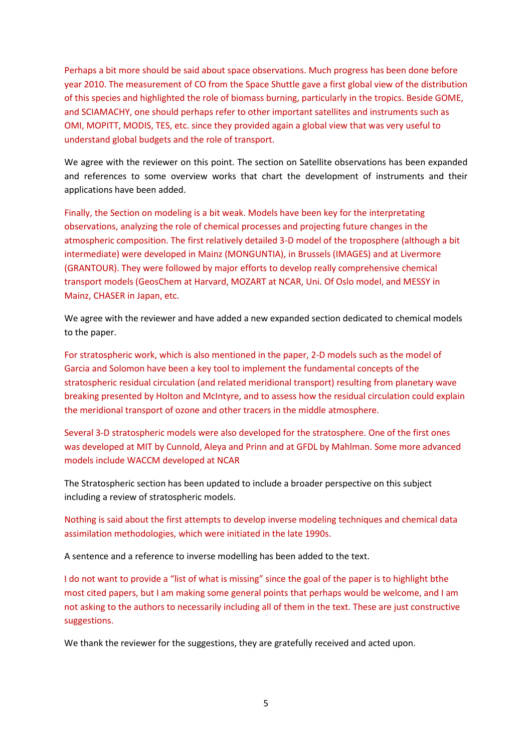Perhaps a bit more should be said about space observations. Much progress has been done before year 2010. The measurement of CO from the Space Shuttle gave a first global view of the distribution of this species and highlighted the role of biomass burning, particularly in the tropics. Beside GOME, and SCIAMACHY, one should perhaps refer to other important satellites and instruments such as OMI, MOPITT, MODIS, TES, etc. since they provided again a global view that was very useful to understand global budgets and the role of transport.

We agree with the reviewer on this point. The section on Satellite observations has been expanded and references to some overview works that chart the development of instruments and their applications have been added.

Finally, the Section on modeling is a bit weak. Models have been key for the interpretating observations, analyzing the role of chemical processes and projecting future changes in the atmospheric composition. The first relatively detailed 3-D model of the troposphere (although a bit intermediate) were developed in Mainz (MONGUNTIA), in Brussels (IMAGES) and at Livermore (GRANTOUR). They were followed by major efforts to develop really comprehensive chemical transport models (GeosChem at Harvard, MOZART at NCAR, Uni. Of Oslo model, and MESSY in Mainz, CHASER in Japan, etc.

We agree with the reviewer and have added a new expanded section dedicated to chemical models to the paper.

For stratospheric work, which is also mentioned in the paper, 2-D models such as the model of Garcia and Solomon have been a key tool to implement the fundamental concepts of the stratospheric residual circulation (and related meridional transport) resulting from planetary wave breaking presented by Holton and McIntyre, and to assess how the residual circulation could explain the meridional transport of ozone and other tracers in the middle atmosphere.

Several 3-D stratospheric models were also developed for the stratosphere. One of the first ones was developed at MIT by Cunnold, Aleya and Prinn and at GFDL by Mahlman. Some more advanced models include WACCM developed at NCAR

The Stratospheric section has been updated to include a broader perspective on this subject including a review of stratospheric models.

Nothing is said about the first attempts to develop inverse modeling techniques and chemical data assimilation methodologies, which were initiated in the late 1990s.

A sentence and a reference to inverse modelling has been added to the text.

I do not want to provide a "list of what is missing" since the goal of the paper is to highlight bthe most cited papers, but I am making some general points that perhaps would be welcome, and I am not asking to the authors to necessarily including all of them in the text. These are just constructive suggestions.

We thank the reviewer for the suggestions, they are gratefully received and acted upon.